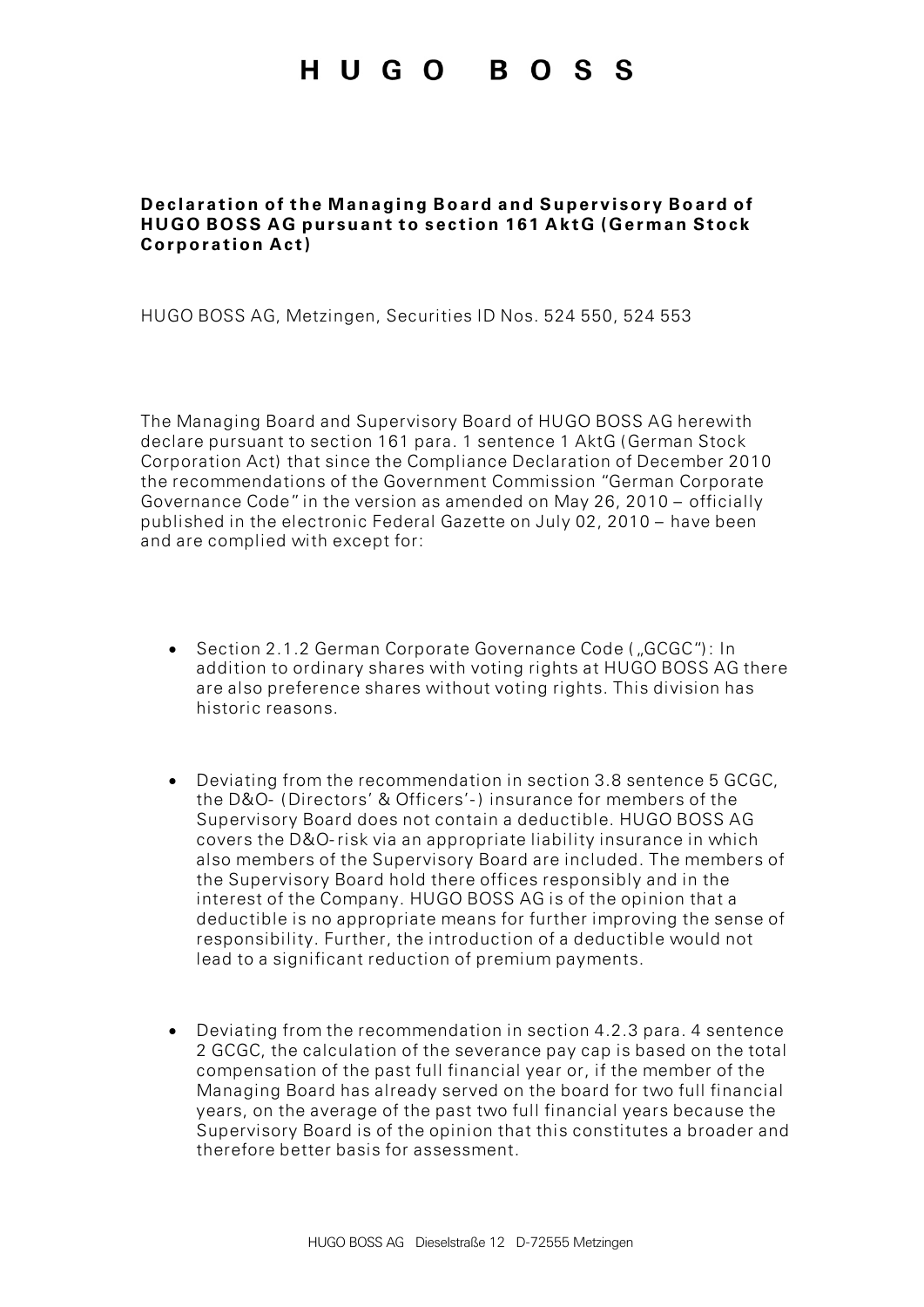## HUGO BOSS

## **Declaration of the Managing Board and Supervisory Board of HUGO BOSS AG pursuant to section 161 AktG (German Stock Corporation Act)**

HUGO BOSS AG, Metzingen, Securities ID Nos. 524 550, 524 553

The Managing Board and Supervisory Board of HUGO BOSS AG herewith declare pursuant to section 161 para. 1 sentence 1 AktG (German Stock Corporation Act) that since the Compliance Declaration of December 2010 the recommendations of the Government Commission "German Corporate Governance Code" in the version as amended on May 26, 2010 – officially published in the electronic Federal Gazette on July 02, 2010 – have been and are complied with except for:

- Section 2.1.2 German Corporate Governance Code ("GCGC"): In addition to ordinary shares with voting rights at HUGO BOSS AG there are also preference shares without voting rights. This division has historic reasons.
- Deviating from the recommendation in section 3.8 sentence 5 GCGC, the D&O- (Directors' & Officers'-) insurance for members of the Supervisory Board does not contain a deductible. HUGO BOSS AG covers the D&O-risk via an appropriate liability insurance in which also members of the Supervisory Board are included. The members of the Supervisory Board hold there offices responsibly and in the interest of the Company. HUGO BOSS AG is of the opinion that a deductible is no appropriate means for further improving the sense of responsibility. Further, the introduction of a deductible would not lead to a significant reduction of premium payments.
- Deviating from the recommendation in section 4.2.3 para. 4 sentence 2 GCGC, the calculation of the severance pay cap is based on the total compensation of the past full financial year or, if the member of the Managing Board has already served on the board for two full financial years, on the average of the past two full financial years because the Supervisory Board is of the opinion that this constitutes a broader and therefore better basis for assessment.